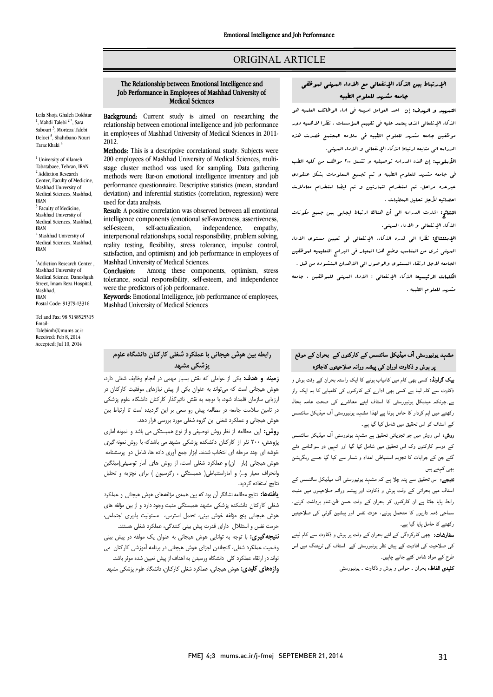## ORIGINAL ARTICLE

## The Relationship between Emotional Intelligence and Job Performance in Employees of Mashhad University of Medical Sciences

Ī  $\overline{a}$ 

Leila Shoja Ghaleh Dokhtar <sup>1</sup>, Mahdi Talebi<sup>2,\*</sup>, Sara Sabouri <sup>3</sup>, Morteza Talebi Deloei <sup>3</sup>, Shahrbano Nouri Taraz Khaki 4

<sup>1</sup> University of Allameh Tabatabaee, Tehran, IRAN <sup>2</sup> Addiction Research Center, Faculty of Medicine, Mashhad University of Medical Sciences, Mashhad, IRAN <sup>3</sup> Faculty of Medicine, Mashhad University of Medical Sciences, Mashhad, IRAN  $^4$  Mashhad University of Medical Sciences, Mashhad, IRAN

\* Addiction Research Center , Mashhad University of Medical Science, Daneshgah Street, Imam Reza Hospital, Mashhad, IRAN Postal Code: 91379-13316

Tel and Fax: 98 5138525315 Email: Talebimh@mums.ac.ir Received: Feb 8, 2014 Accepted: Jul 10, 2014

Background: Current study is aimed on researching the relationship between emotional intelligence and job performance in employees of Mashhad University of Medical Sciences in 2011- 2012.

Methods: This is a descriptive correlational study. Subjects were 200 employees of Mashhad University of Medical Sciences, multimethods were Bar-on emotional intelligence inventory and job performance questionnaire. Descriptive statistics (mean, standard deviation) and inferential statistics (correlation, regression) were stage cluster method was used for sampling. Data gathering used for data analysis.

Result: A positive correlation was observed between all emotional intelligence components (emotional self-awareness, assertiveness, interpersonal relationships, social responsibility, problem solving, reality testing, flexibility, stress tolerance, impulse control, satisfaction, and optimism) and job performance in employees of<br>Mashbad University of Medical Sciences self-esteem, self-actualization, independence, empathy, Mashhad University of Medical Sciences.

Conclusion: Among these components, optimism, stress tolerance, social responsibility, self-esteem, and independence were the predictors of job performance.

were the predictors of job performance.<br>**Keywords:** Emotional Intelligence, job performance of employees, Mashhad University of Medical Sciences

### رابطه بین هوش هیجانی با عملکرد شغلی کارکنان دانشگاه علوم پزشکی مشهد

 زمینه و هدف: یکی از عواملی که نقش بسیار مهمی در انجام وظایف شغلی دارد، هوش هیجانی است که میتواند به عنوان یکی از پیش نیازهاي موفقیت کارکنان در ارزیابی سازمان قلمداد شود، با توجه به نقش تاثیرگذار کارکنان دانشگاه علوم پزشکی در تامین سلامت جامعه در مطالعه پیش رو سعی بر این گردیده است تا ارتباط بین<br>. هوش هیجانی و عملکرد شغلی این گروه شغلی مورد بررسی قرار دهد.

موس تیبانی و حسابر استی این ابرونا شینی مورد بزرسی بزار احمد.<br>**روش:** این مطالعه از نظر روش توصیفی و از نوع همبستگی می باشد و نمونه آماری **رر ت** دی<br>پژوهش، ۲۰۰ نفر از کارکنان دانشکده پزشکی مشهد می باشدکه با روش نمونه گیری خوشه اي چند مرحله اي انتخاب شدند. ابزار جمع آوري داده ها، شامل دو پرسشنامه هوش هیجانی (بار- ان) و عملکرد شغلی است، از روش هاي آمار توصیفی(میانگین وانحراف معیار و...) و آماراستنباطی( همبستگی ، رگرسیون ) براي تچزیه و تحلیل نتایج استفاده گردید.

**یافتهها:** نتایج مطالعه نشانگر آن بود که بین همهی مؤلفههای هوش هیجانی و عملکرد<br>. هعی در تین دستنده پرستی مسهد همبستی مبت وجود دارد و از بین موسه سی<br>هوش هیجانی پنج مؤلفه خوش بینی، تحمل استرس، مسئولیت پذیری اجتماعی، حرمت نفس و استقلال داراي قدرت پیش بینی کنندگی، عملکرد شغلی هستند. .<br>ن**تیجه گیری:** با توجه به توانایی هوش هیجانی به عنوان یک مولفه در پیش بینی وضعیت عملکرد شغلی، گنجاندن اجزاي هوش هیجانی در برنامه آموزشی کارکنان می تواند در ارتقاء عملکرد کلی دانشگاه ورسیدن به اهداف از پیش تعیین شده موثر باشد. **واژههاي کليدي:** هوش هيجاني، عملکرد شغلی کارکنان، دانشگاه علوم پزشکی مشهد شغلی کارکنان دانشکده پزشکی مشهد همبستگی مثبت وجود دارد و از بین مؤلفه هاي

## الإرتباط بین الذکاء الإنفعالی مع الاداء المهنی لموظفی جامعه مشهد للعلوم الطبیه

Ī  $\overline{a}$ 

ا**لتههید و الهدف:** إن احد العوامل ام*رسه فی* ا*داء الوظائف العلمیه ه*و الذکاء الإنفعالی الذي یعتمد علیه فی تقییم المؤسسات . نظرا لاهمیه دور موظفین جامعه مشهد للعلوم الطبیه فی سلامه المجتمع قصدت هذه الدراسه الی متابعه ارتباط الذکاء الإنفعالی و الاداء المهنی.

 الأسلوب: إن هذه الدراسه توصیفیه و تشمل 200 موظف من کلیه الطب فی جامعه مشهد للعلوم الطبیه و تم تجمیع المعلومات بشکل عنقودي عبرعده مراحل، تم استخدام اشمارتین و تم ایضا استخدام معادلات احصائیه لأجل تحلیل المعطیات .

 النتائج: اشارت الدراسه الی أن هناك ارتباط ایجابی بین جمیع مکونات الذکاء الإنفعالی و الاداء المهنی.

 الإستنتاج: نظرا الی قدره الذکاء، الإنفعالی فی تعیین مستوي الاداء المهنی نري من المناسب وضع هذا المعیار فی البرامج التعلیمیه لموظفین لجامعه لاجل ارتقاء البستوی والوصول الی الاهدان البنشوده من قبل .<br>م ا**لکلمات الرئیسیه:** الذکاء الإنفعال<sub>ی</sub> ؛ الاداء الم*هنی للم*وظفین ، جامعه<br>. مشهد للعلوم الطبیه .

# مشہد یونیورسٹی آف میڈیکل سائنسس کے کارکنوں کے بحران کے موقع <sub>ب</sub>ر ہوش و ذکاوت اوران کی پیشہ ورانہ صلاحیتوں کاجائزہ

**یک گراونڈ:** کسی بھی کام میں کامیاب ہونے کا ایک راستہ بحران کے وقت ہوش و .<br>ذکاوت سے کام لینا ہے۔کسی بھی ادار<sub>ے</sub> کے کارکنوں کی کامیابی کا یہ ایک راز ے۔چونکہ میدیکل یونیورسٹی کا اسٹاف اپنے معاشرے کی صحت عامہ بحال رکھنے میں اہم کردار کا حامل ہوتا ہے لھذا مشہد یونیورسٹی آف میڈیکل سائنسس کے اسٹاف کو اس تحقیق میں شامل کیا گیا ہے۔

**روش:** اس روش میں جو تجزیاتی تحقیق ہے مشہد یونورسٹی آف میڈیکل سائنسس<br>. کے دوسو کارکنوں وک اس تحقیق میں شامل کیا گیا اور انہیں دو سوالنامے دئے ئئے جن کے جوابات کا تجزیہ استنباطی اعداد و شمار سے کیا گیا جسے ریگریشن<br>. بھی کہتے ہیں۔

بھی صہحے ہیں۔<br>**تیجے:** اس تحقیق سے پتہ چلا ہے کہ مشہد یونیورسٹی آف میڈیکل سائنسس کے اف ا و ش و ذوت اور ورا ں را ۔ان رں ان و ،و دا ، ۔<br>سماجی ذمہ داریوں کا متحمل ہونے، عزت نفس اور پیشین گوئي کی صلاحیتیں رکھنے کا حامل پایا گیا ہے۔

**سفارشات:** اچھی کارکردگی کے لئے بحران کے وقت پر ہوش و ذکاوت سے کام لینے کی صلاحیت کی افادیت کے پیش نظر یونیورسٹی کے اسٹاف کی ٹریننگ میں اس طرح کے مواد شامل کئے جانے چاہیں۔

**کلیدی الفاظ:** بحران <sub>-</sub> حواس و ہوش و ذکاوت <sub>-</sub> یونیورسٹی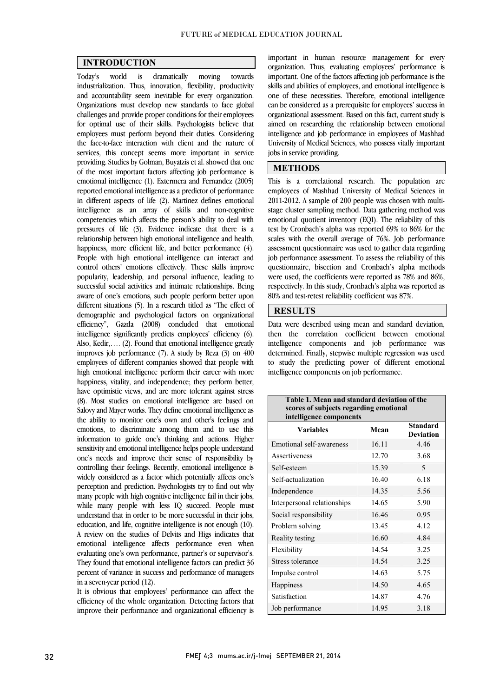$\overline{a}$  $\overline{a}$ 

### INTRODUCTION

towards industrialization. Thus, innovation, flexibility, productivity Organizations must develop new standards to face global challenges and provide proper conditions for their employees for optimal use of their skills. Psychologists believe that employees must perform beyond their duties. Considering services, this concept seems more important in service providing. Studies by Golman, Buyatzis et al. showed that one of the most important factors affecting job performance is emotional intelligence (1). Extermera and Fernandez (2005) in different aspects of life (2). Martinez defines emotional intelligence as an array of skills and non-cognitive competencies which affects the person's ability to deal with pressures of life (3). Evidence indicate that there is a happiness, more efficient life, and better performance (4). People with high emotional intelligence can interact and control others' emotions effectively. These skills improve successful social activities and intimate relationships. Being aware of one's emotions, such people perform better upon different situations (5). In a research titled as "The effect of demographic and psychological factors on organizational intelligence significantly predicts employees' efficiency (6). Also, Kedir, .... (2). Found that emotional intelligence greatly improves job performance (7). A study by Reza (3) on 400 employees of different companies showed that people with happiness, vitality, and independence; they perform better, have optimistic views, and are more tolerant against stress (8). Most studies on emotional intelligence are based on Salovy and Mayer works. They define emotional intelligence as emotions, to discriminate among them and to use this information to guide one's thinking and actions. Higher sensitivity and emotional intelligence helps people understand one's needs and improve their sense of responsibility by<br>controlling their feelings. Recently, emotional intelligence is widely considered as a factor which potentially affects one's perception and prediction. Psychologists try to find out why many people with high cognitive intelligence fail in their jobs, while many people with less IQ succeed. People must<br>understand that in order to be more succeeded in their inha education, and life, cognitive intelligence is not enough (10). A review on the studies of Delvits and Higs indicates that emotional intelligence affects performance even when They found that emotional intelligence factors can predict 36 percent of variance in success and performance of managers Today's world is dramatically moving and accountability seem inevitable for every organization. the face-to-face interaction with client and the nature of reported emotional intelligence as a predictor of performance relationship between high emotional intelligence and health, popularity, leadership, and personal influence, leading to efficiency", Gazda (2008) concluded that emotional high emotional intelligence perform their career with more the ability to monitor one's own and other's feelings and one's needs and improve their sense of responsibility by understand that in order to be more successful in their jobs, evaluating one's own performance, partner's or supervisor's. in a seven-year period (12).

 It is obvious that employees' performance can affect the improve their performance and organizational efficiency is efficiency of the whole organization. Detecting factors that

 organization. Thus, evaluating employees' performance is important. One of the factors affecting job performance is the skills and abilities of employees, and emotional intelligence is can be considered as a prerequisite for employees' success in organizational assessment. Based on this fact, current study is aimed on researching the relationship between emotional intelligence and job performance in employees of Mashhad University of Medical Sciences, who possess vitally important<br>iobs in service providing important in human resource management for every one of these necessities. Therefore, emotional intelligence jobs in service providing.

i,

j

#### METHODS

 $\overline{a}$  employees of Mashhad University of Medical Sciences in 2011-2012. A sample of 200 people was chosen with multi- stage cluster sampling method. Data gathering method was emotional quotient inventory (EQI). The reliability of this scales with the overall average of 76%. Job performance assessment questionnaire was used to gather data regarding job performance assessment. To assess the reliability of this questionnaire, bisection and Cronbach's alpha methods respectively. In this study, Cronbach's alpha was reported as This is a correlational research. The population are test by Cronbach's alpha was reported 69% to 86% for the were used, the coefficients were reported as 78% and 86%, 80% and test-retest reliability coefficient was 87%.

### **RESULTS**

 Data were described using mean and standard deviation, then the correlation coefficient between emotional intelligence components and job performance was determined. Finally, stepwise multiple regression was used to study the predicting power of different emotional intelligence components on job performance.

| Table 1. Mean and standard deviation of the<br>scores of subjects regarding emotional<br>intelligence components |       |                                     |  |  |
|------------------------------------------------------------------------------------------------------------------|-------|-------------------------------------|--|--|
| <b>Variables</b>                                                                                                 | Mean  | <b>Standard</b><br><b>Deviation</b> |  |  |
| Emotional self-awareness                                                                                         | 16.11 | 4.46                                |  |  |
| Assertiveness                                                                                                    | 12.70 | 3.68                                |  |  |
| Self-esteem                                                                                                      | 15.39 | 5                                   |  |  |
| Self-actualization                                                                                               | 16.40 | 618                                 |  |  |
| Independence                                                                                                     | 14.35 | 5.56                                |  |  |
| Interpersonal relationships                                                                                      | 14.65 | 5.90                                |  |  |
| Social responsibility                                                                                            | 16.46 | 0.95                                |  |  |
| Problem solving                                                                                                  | 13.45 | 4 1 2                               |  |  |
| Reality testing                                                                                                  | 16.60 | 4.84                                |  |  |
| Flexibility                                                                                                      | 14.54 | 3.25                                |  |  |
| Stress tolerance                                                                                                 | 14.54 | 3.25                                |  |  |
| Impulse control                                                                                                  | 14.63 | 5.75                                |  |  |
| Happiness                                                                                                        | 14.50 | 4.65                                |  |  |
| Satisfaction                                                                                                     | 14.87 | 4.76                                |  |  |
| Job performance                                                                                                  | 14.95 | 3.18                                |  |  |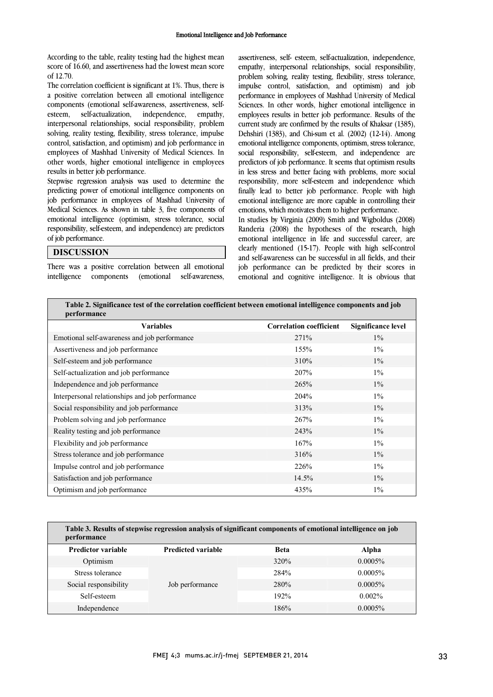According to the table, reality testing had the highest mean score of 16.60, and assertiveness had the lowest mean score of 12.70.

 The correlation coefficient is significant at 1%. Thus, there is components (emotional self-awareness, assertiveness, selfempathy, interpersonal relationships, social responsibility, problem solving, reality testing, flexibility, stress tolerance, impulse employees of Mashhad University of Medical Sciences. In other words, higher emotional intelligence in employees a positive correlation between all emotional intelligence esteem, self-actualization, independence, control, satisfaction, and optimism) and job performance in results in better job performance.

 predicting power of emotional intelligence components on job performance in employees of Mashhad University of Medical Sciences. As shown in table 3, five components of emotional intelligence (optimism, stress tolerance, social responsibility, self-esteem, and independence) are predictors  $\overline{a}$ Stepwise regression analysis was used to determine the of job performance.

### DISCUSSION

 There was a positive correlation between all emotional self-awareness. intelligence components (emotional

 assertiveness, self- esteem, self-actualization, independence, empathy, interpersonal relationships, social responsibility, problem solving, reality testing, flexibility, stress tolerance, impulse control, satisfaction, and optimism) and job Sciences. In other words, higher emotional intelligence in current study are confirmed by the results of Khaksar (1385), Dehshiri (1383), and Chi-sum et al. (2002) (12-14). Among social responsibility, self-esteem, and independence are predictors of job performance. It seems that optimism results in less stress and better facing with problems, more social finally lead to better job performance. People with high emotional intelligence are more capable in controlling their performance in employees of Mashhad University of Medical employees results in better job performance. Results of the emotional intelligence components, optimism, stress tolerance, responsibility, more self-esteem and independence which emotions, which motivates them to higher performance.

 In studies by Virginia (2009) Smith and Wigboldus (2008) emotional intelligence in life and successful career, are clearly mentioned (15-17). People with high self-control and self-awareness can be successful in all fields, and their job performance can be predicted by their scores in emotional and cognitive intelligence. It is obvious that Randeria (2008) the hypotheses of the research, high

 $\overline{a}$ 

| Table 2. Significance test of the correlation coefficient between emotional intelligence components and job |
|-------------------------------------------------------------------------------------------------------------|
| performance                                                                                                 |
|                                                                                                             |

| <b>Variables</b>                                | <b>Correlation coefficient</b> | <b>Significance level</b> |
|-------------------------------------------------|--------------------------------|---------------------------|
| Emotional self-awareness and job performance    | 271%                           | $1\%$                     |
| Assertiveness and job performance               | 155%                           | $1\%$                     |
| Self-esteem and job performance                 | 310%                           | $1\%$                     |
| Self-actualization and job performance          | 207%                           | $1\%$                     |
| Independence and job performance                | 265%                           | $1\%$                     |
| Interpersonal relationships and job performance | 204%                           | $1\%$                     |
| Social responsibility and job performance       | 313%                           | $1\%$                     |
| Problem solving and job performance             | 267%                           | $1\%$                     |
| Reality testing and job performance             | 243%                           | $1\%$                     |
| Flexibility and job performance                 | 167%                           | $1\%$                     |
| Stress tolerance and job performance            | 316%                           | $1\%$                     |
| Impulse control and job performance             | 226%                           | $1\%$                     |
| Satisfaction and job performance                | 14.5%                          | $1\%$                     |
| Optimism and job performance                    | 435%                           | $1\%$                     |
|                                                 |                                |                           |

| Table 3. Results of stepwise regression analysis of significant components of emotional intelligence on job<br>performance |                           |             |              |  |  |
|----------------------------------------------------------------------------------------------------------------------------|---------------------------|-------------|--------------|--|--|
| <b>Predictor variable</b>                                                                                                  | <b>Predicted variable</b> | <b>Beta</b> | <b>Alpha</b> |  |  |
| Optimism                                                                                                                   | Job performance           | 320%        | $0.0005\%$   |  |  |
| Stress tolerance                                                                                                           |                           | 284%        | $0.0005\%$   |  |  |
| Social responsibility                                                                                                      |                           | 280%        | $0.0005\%$   |  |  |
| Self-esteem                                                                                                                |                           | 192%        | $0.002\%$    |  |  |
| Independence                                                                                                               |                           | 186%        | $0.0005\%$   |  |  |